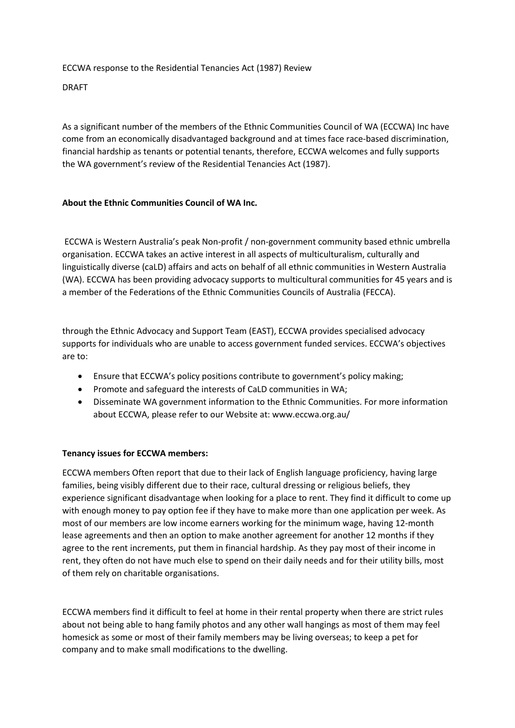ECCWA response to the Residential Tenancies Act (1987) Review

DRAFT

As a significant number of the members of the Ethnic Communities Council of WA (ECCWA) Inc have come from an economically disadvantaged background and at times face race-based discrimination, financial hardship as tenants or potential tenants, therefore, ECCWA welcomes and fully supports the WA government's review of the Residential Tenancies Act (1987).

## **About the Ethnic Communities Council of WA Inc.**

ECCWA is Western Australia's peak Non-profit / non-government community based ethnic umbrella organisation. ECCWA takes an active interest in all aspects of multiculturalism, culturally and linguistically diverse (caLD) affairs and acts on behalf of all ethnic communities in Western Australia (WA). ECCWA has been providing advocacy supports to multicultural communities for 45 years and is a member of the Federations of the Ethnic Communities Councils of Australia (FECCA).

through the Ethnic Advocacy and Support Team (EAST), ECCWA provides specialised advocacy supports for individuals who are unable to access government funded services. ECCWA's objectives are to:

- Ensure that ECCWA's policy positions contribute to government's policy making;
- Promote and safeguard the interests of CaLD communities in WA;
- Disseminate WA government information to the Ethnic Communities. For more information about ECCWA, please refer to our Website at: www.eccwa.org.au/

## **Tenancy issues for ECCWA members:**

ECCWA members Often report that due to their lack of English language proficiency, having large families, being visibly different due to their race, cultural dressing or religious beliefs, they experience significant disadvantage when looking for a place to rent. They find it difficult to come up with enough money to pay option fee if they have to make more than one application per week. As most of our members are low income earners working for the minimum wage, having 12-month lease agreements and then an option to make another agreement for another 12 months if they agree to the rent increments, put them in financial hardship. As they pay most of their income in rent, they often do not have much else to spend on their daily needs and for their utility bills, most of them rely on charitable organisations.

ECCWA members find it difficult to feel at home in their rental property when there are strict rules about not being able to hang family photos and any other wall hangings as most of them may feel homesick as some or most of their family members may be living overseas; to keep a pet for company and to make small modifications to the dwelling.